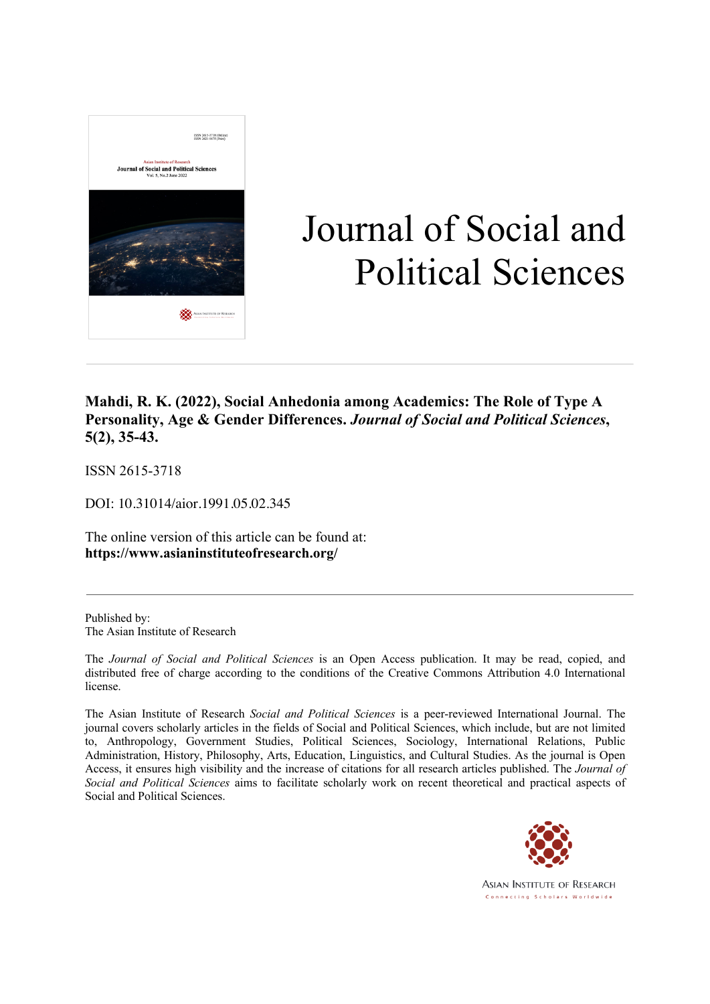

# Journal of Social and Political Sciences

### **Mahdi, R. K. (2022), Social Anhedonia among Academics: The Role of Type A Personality, Age & Gender Differences.** *Journal of Social and Political Sciences***, 5(2), 35-43.**

ISSN 2615-3718

DOI: 10.31014/aior.1991.05.02.345

The online version of this article can be found at: **https://www.asianinstituteofresearch.org/**

Published by: The Asian Institute of Research

The *Journal of Social and Political Sciences* is an Open Access publication. It may be read, copied, and distributed free of charge according to the conditions of the Creative Commons Attribution 4.0 International license.

The Asian Institute of Research *Social and Political Sciences* is a peer-reviewed International Journal. The journal covers scholarly articles in the fields of Social and Political Sciences, which include, but are not limited to, Anthropology, Government Studies, Political Sciences, Sociology, International Relations, Public Administration, History, Philosophy, Arts, Education, Linguistics, and Cultural Studies. As the journal is Open Access, it ensures high visibility and the increase of citations for all research articles published. The *Journal of Social and Political Sciences* aims to facilitate scholarly work on recent theoretical and practical aspects of Social and Political Sciences.



**ASIAN INSTITUTE OF RESEARCH** Connecting Scholars Worldwide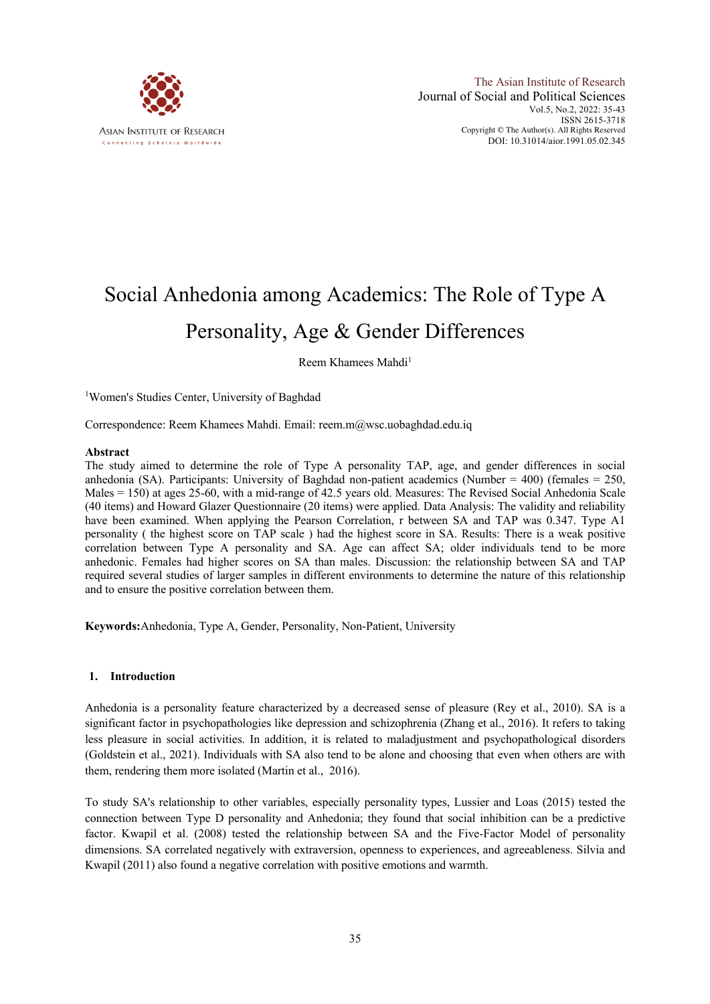

## Social Anhedonia among Academics: The Role of Type A Personality, Age & Gender Differences

Reem Khamees Mahdi1

<sup>1</sup>Women's Studies Center, University of Baghdad

Correspondence: Reem Khamees Mahdi. Email: reem.m@wsc.uobaghdad.edu.iq

#### **Abstract**

The study aimed to determine the role of Type A personality TAP, age, and gender differences in social anhedonia (SA). Participants: University of Baghdad non-patient academics (Number =  $400$ ) (females =  $250$ , Males = 150) at ages 25-60, with a mid-range of 42.5 years old. Measures: The Revised Social Anhedonia Scale (40 items) and Howard Glazer Questionnaire (20 items) were applied. Data Analysis: The validity and reliability have been examined. When applying the Pearson Correlation, r between SA and TAP was 0.347. Type A1 personality ( the highest score on TAP scale ) had the highest score in SA. Results: There is a weak positive correlation between Type A personality and SA. Age can affect SA; older individuals tend to be more anhedonic. Females had higher scores on SA than males. Discussion: the relationship between SA and TAP required several studies of larger samples in different environments to determine the nature of this relationship and to ensure the positive correlation between them.

**Keywords:**Anhedonia, Type A, Gender, Personality, Non-Patient, University

#### **1. Introduction**

Anhedonia is a personality feature characterized by a decreased sense of pleasure (Rey et al., 2010). SA is a significant factor in psychopathologies like depression and schizophrenia (Zhang et al., 2016). It refers to taking less pleasure in social activities. In addition, it is related to maladjustment and psychopathological disorders (Goldstein et al., 2021). Individuals with SA also tend to be alone and choosing that even when others are with them, rendering them more isolated (Martin et al., 2016).

To study SA's relationship to other variables, especially personality types, Lussier and Loas (2015) tested the connection between Type D personality and Anhedonia; they found that social inhibition can be a predictive factor. Kwapil et al. (2008) tested the relationship between SA and the Five-Factor Model of personality dimensions. SA correlated negatively with extraversion, openness to experiences, and agreeableness. Silvia and Kwapil (2011) also found a negative correlation with positive emotions and warmth.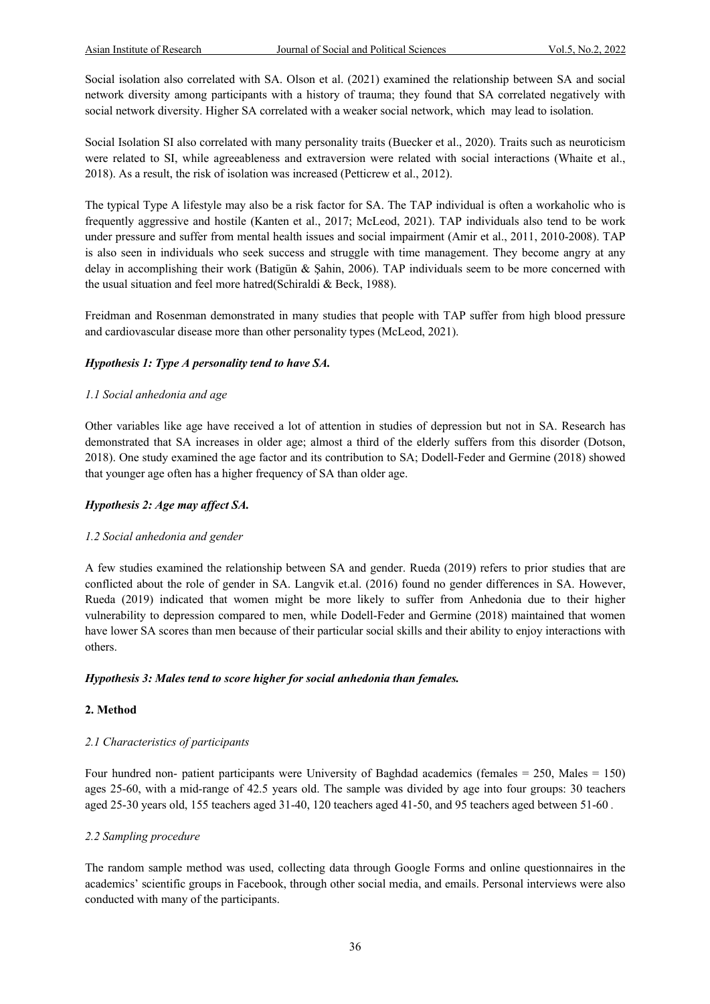Social isolation also correlated with SA. Olson et al. (2021) examined the relationship between SA and social network diversity among participants with a history of trauma; they found that SA correlated negatively with social network diversity. Higher SA correlated with a weaker social network, which may lead to isolation.

Social Isolation SI also correlated with many personality traits (Buecker et al., 2020). Traits such as neuroticism were related to SI, while agreeableness and extraversion were related with social interactions (Whaite et al., 2018). As a result, the risk of isolation was increased (Petticrew et al., 2012).

The typical Type A lifestyle may also be a risk factor for SA. The TAP individual is often a workaholic who is frequently aggressive and hostile (Kanten et al., 2017; McLeod, 2021). TAP individuals also tend to be work under pressure and suffer from mental health issues and social impairment (Amir et al., 2011, 2010-2008). TAP is also seen in individuals who seek success and struggle with time management. They become angry at any delay in accomplishing their work (Batigün & Şahin, 2006). TAP individuals seem to be more concerned with the usual situation and feel more hatred(Schiraldi & Beck, 1988).

Freidman and Rosenman demonstrated in many studies that people with TAP suffer from high blood pressure and cardiovascular disease more than other personality types (McLeod, 2021).

#### *Hypothesis 1: Type A personality tend to have SA.*

#### *1.1 Social anhedonia and age*

Other variables like age have received a lot of attention in studies of depression but not in SA. Research has demonstrated that SA increases in older age; almost a third of the elderly suffers from this disorder (Dotson, 2018). One study examined the age factor and its contribution to SA; Dodell-Feder and Germine (2018) showed that younger age often has a higher frequency of SA than older age.

#### *Hypothesis 2: Age may affect SA.*

#### *1.2 Social anhedonia and gender*

A few studies examined the relationship between SA and gender. Rueda (2019) refers to prior studies that are conflicted about the role of gender in SA. Langvik et.al. (2016) found no gender differences in SA. However, Rueda (2019) indicated that women might be more likely to suffer from Anhedonia due to their higher vulnerability to depression compared to men, while Dodell-Feder and Germine (2018) maintained that women have lower SA scores than men because of their particular social skills and their ability to enjoy interactions with others.

#### *Hypothesis 3: Males tend to score higher for social anhedonia than females.*

#### **2. Method**

#### *2.1 Characteristics of participants*

Four hundred non- patient participants were University of Baghdad academics (females = 250, Males = 150) ages 25-60, with a mid-range of 42.5 years old. The sample was divided by age into four groups: 30 teachers aged 25-30 years old, 155 teachers aged 31-40, 120 teachers aged 41-50, and 95 teachers aged between 51-60 *.*

#### *2.2 Sampling procedure*

The random sample method was used, collecting data through Google Forms and online questionnaires in the academics' scientific groups in Facebook, through other social media, and emails. Personal interviews were also conducted with many of the participants.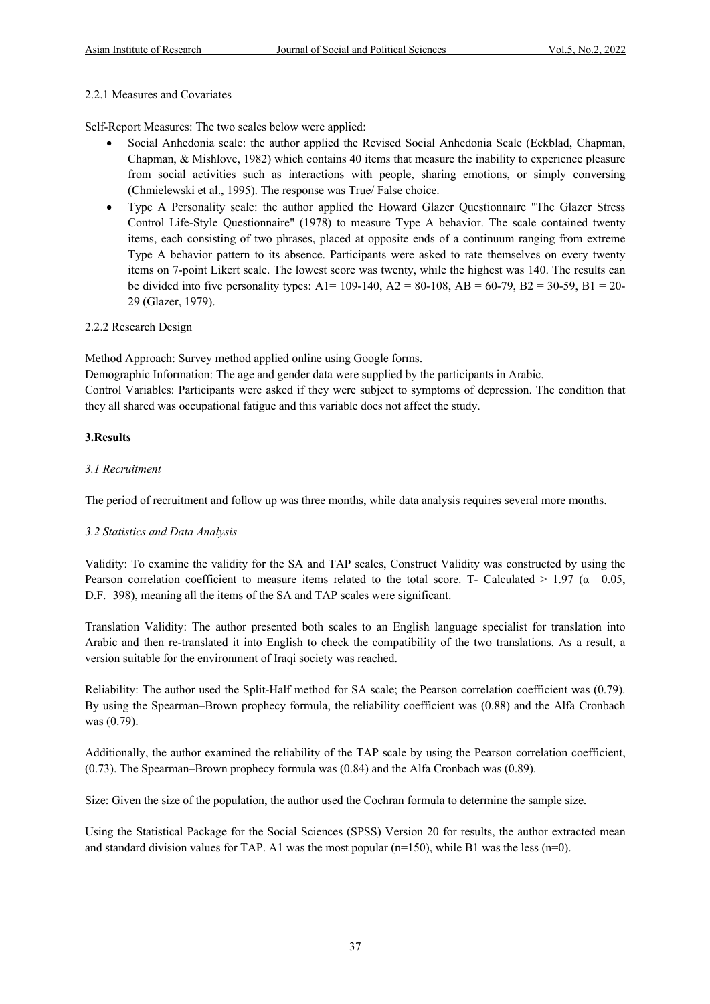#### 2.2.1 Measures and Covariates

Self-Report Measures: The two scales below were applied:

- Social Anhedonia scale: the author applied the Revised Social Anhedonia Scale (Eckblad, Chapman, Chapman, & Mishlove, 1982) which contains 40 items that measure the inability to experience pleasure from social activities such as interactions with people, sharing emotions, or simply conversing (Chmielewski et al., 1995). The response was True/ False choice.
- Type A Personality scale: the author applied the Howard Glazer Questionnaire "The Glazer Stress Control Life-Style Questionnaire" (1978) to measure Type A behavior. The scale contained twenty items, each consisting of two phrases, placed at opposite ends of a continuum ranging from extreme Type A behavior pattern to its absence. Participants were asked to rate themselves on every twenty items on 7-point Likert scale. The lowest score was twenty, while the highest was 140. The results can be divided into five personality types: A1= 109-140, A2 = 80-108, AB = 60-79, B2 = 30-59, B1 = 20-29 (Glazer, 1979).

#### 2.2.2 Research Design

Method Approach: Survey method applied online using Google forms.

Demographic Information: The age and gender data were supplied by the participants in Arabic.

Control Variables: Participants were asked if they were subject to symptoms of depression. The condition that they all shared was occupational fatigue and this variable does not affect the study.

#### **3.Results**

#### *3.1 Recruitment*

The period of recruitment and follow up was three months, while data analysis requires several more months.

#### *3.2 Statistics and Data Analysis*

Validity: To examine the validity for the SA and TAP scales, Construct Validity was constructed by using the Pearson correlation coefficient to measure items related to the total score. T- Calculated  $> 1.97$  ( $\alpha = 0.05$ , D.F.=398), meaning all the items of the SA and TAP scales were significant.

Translation Validity: The author presented both scales to an English language specialist for translation into Arabic and then re-translated it into English to check the compatibility of the two translations. As a result, a version suitable for the environment of Iraqi society was reached.

Reliability: The author used the Split-Half method for SA scale; the Pearson correlation coefficient was (0.79). By using the Spearman–Brown prophecy formula, the reliability coefficient was (0.88) and the Alfa Cronbach was (0.79).

Additionally, the author examined the reliability of the TAP scale by using the Pearson correlation coefficient, (0.73). The Spearman–Brown prophecy formula was (0.84) and the Alfa Cronbach was (0.89).

Size: Given the size of the population, the author used the Cochran formula to determine the sample size.

Using the Statistical Package for the Social Sciences (SPSS) Version 20 for results, the author extracted mean and standard division values for TAP. A1 was the most popular ( $n=150$ ), while B1 was the less ( $n=0$ ).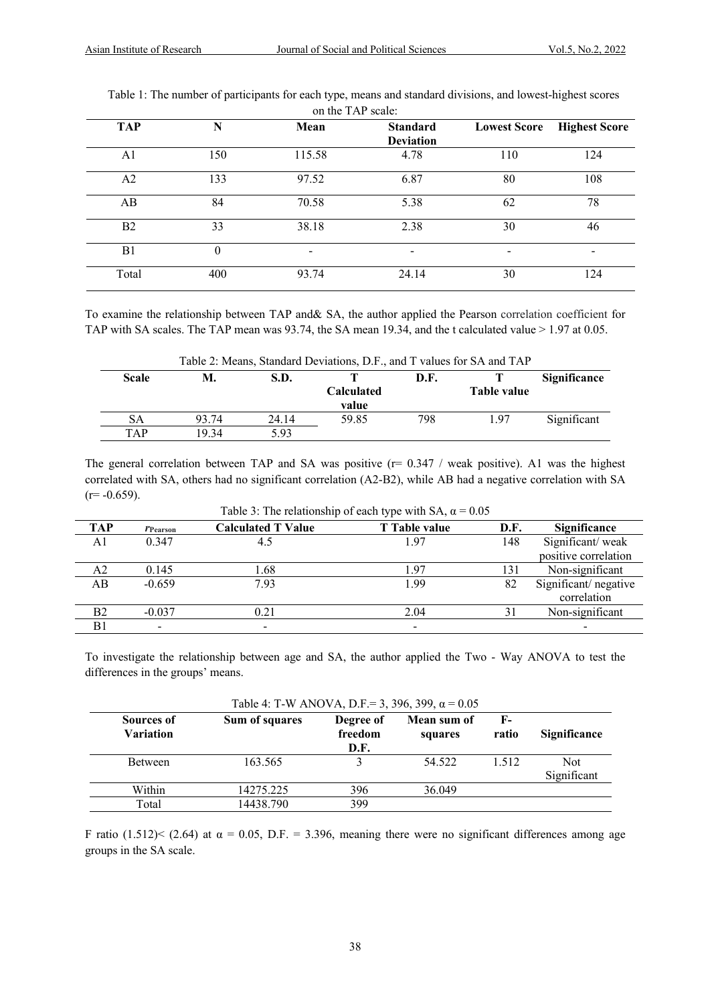| <b>TAP</b>     | N            | Mean                     | <b>Standard</b>  | <b>Lowest Score</b>      | <b>Highest Score</b> |
|----------------|--------------|--------------------------|------------------|--------------------------|----------------------|
|                |              |                          | <b>Deviation</b> |                          |                      |
| A1             | 150          | 115.58                   | 4.78             | 110                      | 124                  |
| A2             | 133          | 97.52                    | 6.87             | 80                       | 108                  |
| AB             | 84           | 70.58                    | 5.38             | 62                       | 78                   |
| B <sub>2</sub> | 33           | 38.18                    | 2.38             | 30                       | 46                   |
| B1             | $\mathbf{0}$ | $\overline{\phantom{a}}$ | $\qquad \qquad$  | $\overline{\phantom{a}}$ |                      |
| Total          | 400          | 93.74                    | 24.14            | 30                       | 124                  |

Table 1: The number of participants for each type, means and standard divisions, and lowest-highest scores  $TAP$ 

To examine the relationship between TAP and& SA, the author applied the Pearson correlation coefficient for TAP with SA scales. The TAP mean was 93.74, the SA mean 19.34, and the t calculated value > 1.97 at 0.05.

|              | Table 2: Means, Standard Deviations, D.F., and T values for SA and TAP |       |                                  |     |      |             |  |  |
|--------------|------------------------------------------------------------------------|-------|----------------------------------|-----|------|-------------|--|--|
| <b>Scale</b> | М.<br>S.D.<br>D.F.                                                     |       |                                  |     |      |             |  |  |
|              |                                                                        |       | <b>Calculated</b><br>Table value |     |      |             |  |  |
|              |                                                                        |       | value                            |     |      |             |  |  |
| SА           | 93.74                                                                  | 24.14 | 59.85                            | 798 | 1.97 | Significant |  |  |
| TAP          | 19.34                                                                  | 5.93  |                                  |     |      |             |  |  |

The general correlation between TAP and SA was positive  $(r= 0.347 /$  weak positive). A1 was the highest correlated with SA, others had no significant correlation (A2-B2), while AB had a negative correlation with SA  $(r=-0.659)$ .

| <b>TAP</b>     | <i>l</i> Pearson | <b>Calculated T Value</b> | T Table value            | D.F. | Significance         |  |  |
|----------------|------------------|---------------------------|--------------------------|------|----------------------|--|--|
| A1             | 0.347            | 4.5                       | 1.97                     | 148  | Significant/weak     |  |  |
|                |                  |                           |                          |      | positive correlation |  |  |
| A <sub>2</sub> | 0.145            | l.68                      | l.97                     | 131  | Non-significant      |  |  |
| AB             | $-0.659$         | 7.93                      | 1.99                     | 82   | Significant/negative |  |  |
|                |                  |                           |                          |      | correlation          |  |  |
| B2             | $-0.037$         | 0.21                      | 2.04                     |      | Non-significant      |  |  |
| B1             |                  |                           | $\overline{\phantom{a}}$ |      |                      |  |  |

Table 3: The relationship of each type with SA,  $\alpha$  = 0.05

To investigate the relationship between age and SA, the author applied the Two - Way ANOVA to test the differences in the groups' means.

| Table 4: T-W ANOVA, D.F.= 3, 396, 399, $\alpha$ = 0.05 |                |                              |                        |               |                           |  |
|--------------------------------------------------------|----------------|------------------------------|------------------------|---------------|---------------------------|--|
| Sources of<br><b>Variation</b>                         | Sum of squares | Degree of<br>freedom<br>D.F. | Mean sum of<br>squares | $F-$<br>ratio | <b>Significance</b>       |  |
| <b>Between</b>                                         | 163.565        |                              | 54.522                 | 1.512         | <b>Not</b><br>Significant |  |
| Within                                                 | 14275.225      | 396                          | 36.049                 |               |                           |  |
| Total                                                  | 14438.790      | 399                          |                        |               |                           |  |

F ratio (1.512)< (2.64) at  $\alpha$  = 0.05, D.F. = 3.396, meaning there were no significant differences among age groups in the SA scale.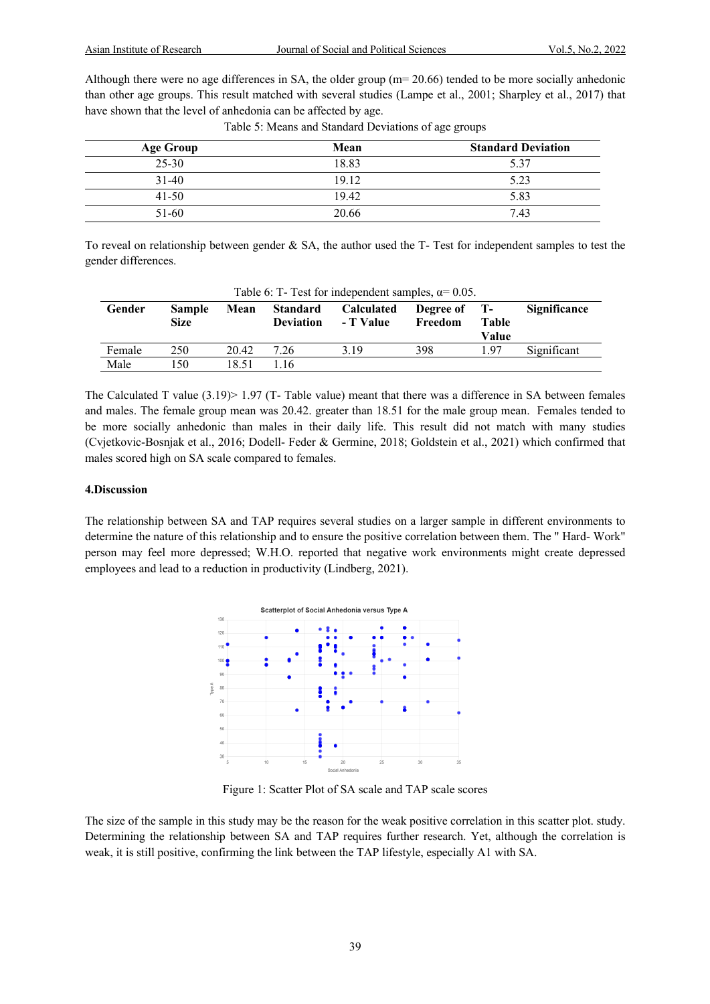Although there were no age differences in SA, the older group (m= 20.66) tended to be more socially anhedonic than other age groups. This result matched with several studies (Lampe et al., 2001; Sharpley et al., 2017) that have shown that the level of anhedonia can be affected by age.

| <b>Age Group</b> | Mean  | <b>Standard Deviation</b> |
|------------------|-------|---------------------------|
| $25 - 30$        | 18.83 | 5.37                      |
| $31-40$          | 19.12 | 5.23                      |
| $41 - 50$        | 19.42 | 5.83                      |
| $51-60$          | 20.66 | 7.43                      |

Table 5: Means and Standard Deviations of age groups

To reveal on relationship between gender & SA, the author used the T- Test for independent samples to test the gender differences.

| Table 0. $1 - 1$ est for independent samples, $\alpha = 0.03$ . |                       |       |                                     |                                |                      |                                     |                     |
|-----------------------------------------------------------------|-----------------------|-------|-------------------------------------|--------------------------------|----------------------|-------------------------------------|---------------------|
| Gender                                                          | <b>Sample</b><br>Size | Mean  | <b>Standard</b><br><b>Deviation</b> | <b>Calculated</b><br>- T Value | Degree of<br>Freedom | <b>T</b> -<br><b>Table</b><br>Value | <b>Significance</b> |
| Female                                                          | 250                   | 20.42 | 7.26                                | 3.19                           | 398                  | 1.97                                | Significant         |
| Male                                                            | 150                   | 18.51 | 1.16                                |                                |                      |                                     |                     |

 $Table 6: T-Test for independent complex,  $\alpha= 0.05$ .$ 

The Calculated T value  $(3.19)$  > 1.97 (T- Table value) meant that there was a difference in SA between females and males. The female group mean was 20.42. greater than 18.51 for the male group mean. Females tended to be more socially anhedonic than males in their daily life. This result did not match with many studies (Cvjetkovic-Bosnjak et al., 2016; Dodell- Feder & Germine, 2018; Goldstein et al., 2021) which confirmed that males scored high on SA scale compared to females.

#### **4.Discussion**

The relationship between SA and TAP requires several studies on a larger sample in different environments to determine the nature of this relationship and to ensure the positive correlation between them. The " Hard- Work" person may feel more depressed; W.H.O. reported that negative work environments might create depressed employees and lead to a reduction in productivity (Lindberg, 2021).



Figure 1: Scatter Plot of SA scale and TAP scale scores

The size of the sample in this study may be the reason for the weak positive correlation in this scatter plot. study. Determining the relationship between SA and TAP requires further research. Yet, although the correlation is weak, it is still positive, confirming the link between the TAP lifestyle, especially A1 with SA.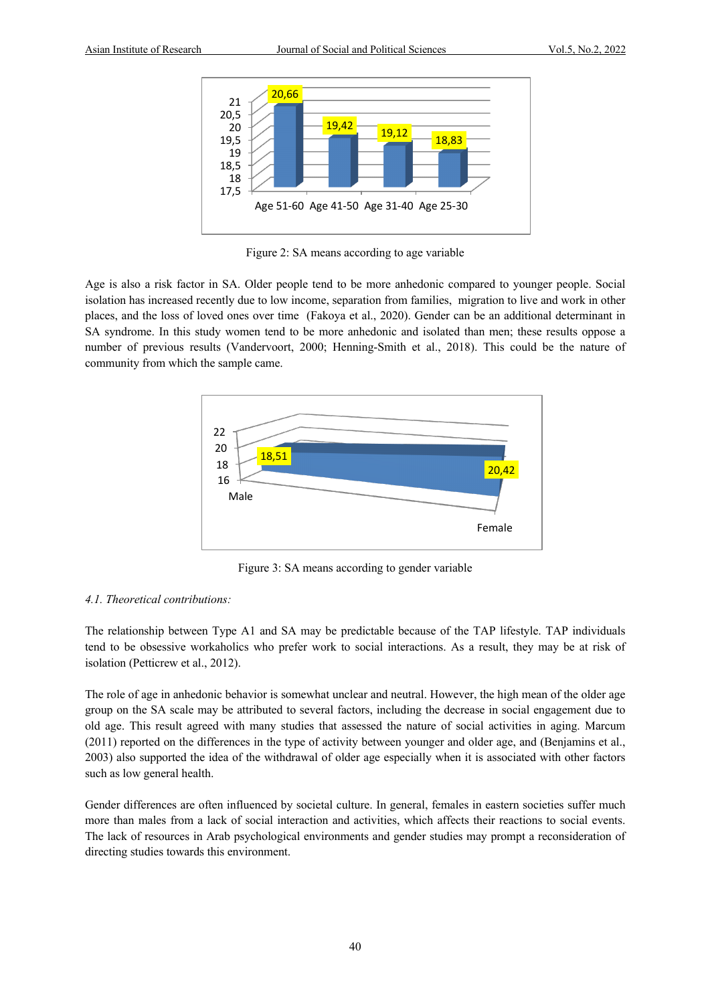

Figure 2: SA means according to age variable

Age is also a risk factor in SA. Older people tend to be more anhedonic compared to younger people. Social isolation has increased recently due to low income, separation from families, migration to live and work in other places, and the loss of loved ones over time (Fakoya et al., 2020). Gender can be an additional determinant in SA syndrome. In this study women tend to be more anhedonic and isolated than men; these results oppose a number of previous results (Vandervoort, 2000; Henning-Smith et al., 2018). This could be the nature of community from which the sample came.



Figure 3: SA means according to gender variable

#### *4.1. Theoretical contributions:*

The relationship between Type A1 and SA may be predictable because of the TAP lifestyle. TAP individuals tend to be obsessive workaholics who prefer work to social interactions. As a result, they may be at risk of isolation (Petticrew et al., 2012).

The role of age in anhedonic behavior is somewhat unclear and neutral. However, the high mean of the older age group on the SA scale may be attributed to several factors, including the decrease in social engagement due to old age. This result agreed with many studies that assessed the nature of social activities in aging. Marcum (2011) reported on the differences in the type of activity between younger and older age, and (Benjamins et al., 2003) also supported the idea of the withdrawal of older age especially when it is associated with other factors such as low general health.

Gender differences are often influenced by societal culture. In general, females in eastern societies suffer much more than males from a lack of social interaction and activities, which affects their reactions to social events. The lack of resources in Arab psychological environments and gender studies may prompt a reconsideration of directing studies towards this environment.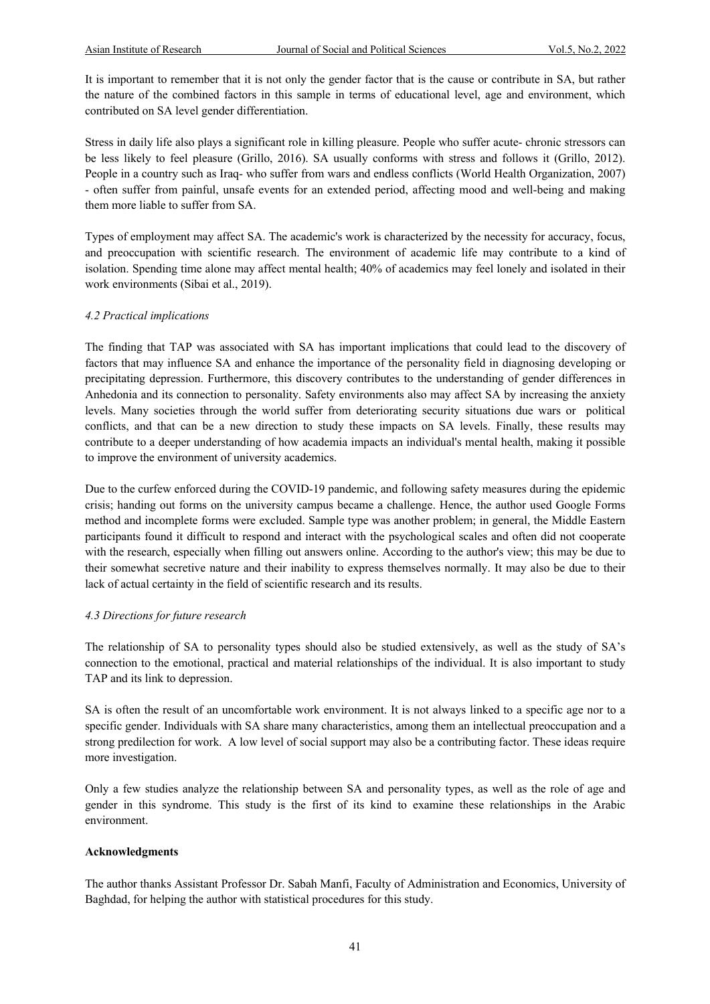It is important to remember that it is not only the gender factor that is the cause or contribute in SA, but rather the nature of the combined factors in this sample in terms of educational level, age and environment, which contributed on SA level gender differentiation.

Stress in daily life also plays a significant role in killing pleasure. People who suffer acute- chronic stressors can be less likely to feel pleasure (Grillo, 2016). SA usually conforms with stress and follows it (Grillo, 2012). People in a country such as Iraq- who suffer from wars and endless conflicts (World Health Organization, 2007) - often suffer from painful, unsafe events for an extended period, affecting mood and well-being and making them more liable to suffer from SA.

Types of employment may affect SA. The academic's work is characterized by the necessity for accuracy, focus, and preoccupation with scientific research. The environment of academic life may contribute to a kind of isolation. Spending time alone may affect mental health; 40% of academics may feel lonely and isolated in their work environments (Sibai et al., 2019).

#### *4.2 Practical implications*

The finding that TAP was associated with SA has important implications that could lead to the discovery of factors that may influence SA and enhance the importance of the personality field in diagnosing developing or precipitating depression. Furthermore, this discovery contributes to the understanding of gender differences in Anhedonia and its connection to personality. Safety environments also may affect SA by increasing the anxiety levels. Many societies through the world suffer from deteriorating security situations due wars or political conflicts, and that can be a new direction to study these impacts on SA levels. Finally, these results may contribute to a deeper understanding of how academia impacts an individual's mental health, making it possible to improve the environment of university academics.

Due to the curfew enforced during the COVID-19 pandemic, and following safety measures during the epidemic crisis; handing out forms on the university campus became a challenge. Hence, the author used Google Forms method and incomplete forms were excluded. Sample type was another problem; in general, the Middle Eastern participants found it difficult to respond and interact with the psychological scales and often did not cooperate with the research, especially when filling out answers online. According to the author's view; this may be due to their somewhat secretive nature and their inability to express themselves normally. It may also be due to their lack of actual certainty in the field of scientific research and its results.

#### *4.3 Directions for future research*

The relationship of SA to personality types should also be studied extensively, as well as the study of SA's connection to the emotional, practical and material relationships of the individual. It is also important to study TAP and its link to depression.

SA is often the result of an uncomfortable work environment. It is not always linked to a specific age nor to a specific gender. Individuals with SA share many characteristics, among them an intellectual preoccupation and a strong predilection for work. A low level of social support may also be a contributing factor. These ideas require more investigation.

Only a few studies analyze the relationship between SA and personality types, as well as the role of age and gender in this syndrome. This study is the first of its kind to examine these relationships in the Arabic environment.

#### **Acknowledgments**

The author thanks Assistant Professor Dr. Sabah Manfi, Faculty of Administration and Economics, University of Baghdad, for helping the author with statistical procedures for this study.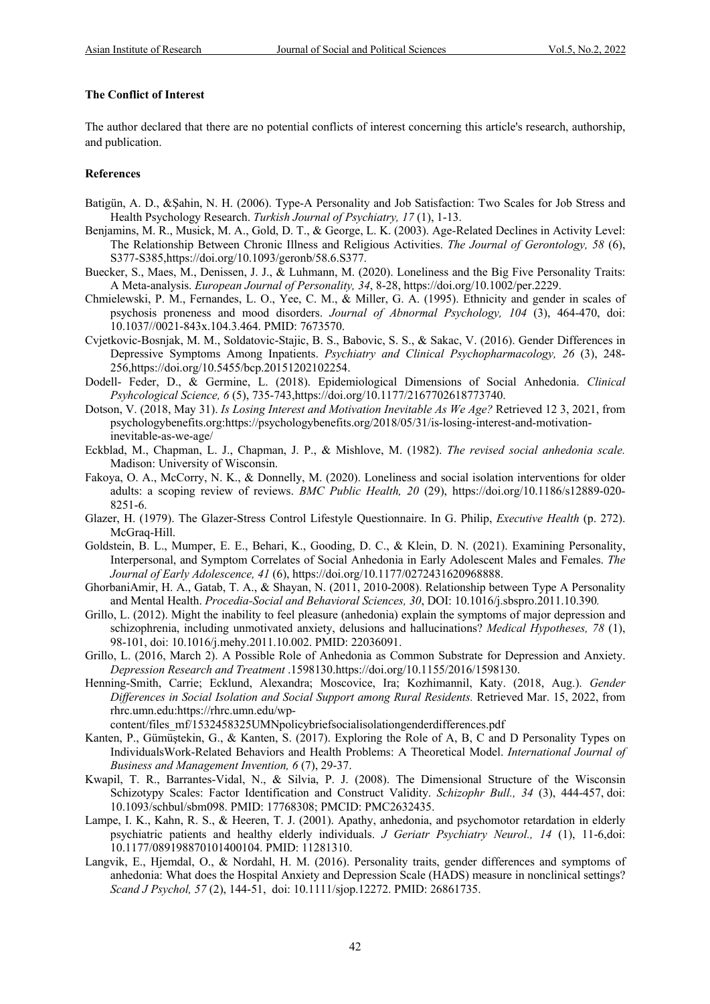#### **The Conflict of Interest**

The author declared that there are no potential conflicts of interest concerning this article's research, authorship, and publication.

#### **References**

- Batigün, A. D., &Şahin, N. H. (2006). Type-A Personality and Job Satisfaction: Two Scales for Job Stress and Health Psychology Research. *Turkish Journal of Psychiatry, 17* (1), 1-13.
- Benjamins, M. R., Musick, M. A., Gold, D. T., & George, L. K. (2003). Age-Related Declines in Activity Level: The Relationship Between Chronic Illness and Religious Activities. *The Journal of Gerontology, 58* (6), S377-S385,https://doi.org/10.1093/geronb/58.6.S377.
- Buecker, S., Maes, M., Denissen, J. J., & Luhmann, M. (2020). Loneliness and the Big Five Personality Traits: A Meta-analysis. *European Journal of Personality, 34*, 8-28, https://doi.org/10.1002/per.2229.
- Chmielewski, P. M., Fernandes, L. O., Yee, C. M., & Miller, G. A. (1995). Ethnicity and gender in scales of psychosis proneness and mood disorders. *Journal of Abnormal Psychology, 104* (3), 464-470, doi: 10.1037//0021-843x.104.3.464. PMID: 7673570.
- Cvjetkovic-Bosnjak, M. M., Soldatovic-Stajic, B. S., Babovic, S. S., & Sakac, V. (2016). Gender Differences in Depressive Symptoms Among Inpatients. *Psychiatry and Clinical Psychopharmacology, 26* (3), 248- 256,https://doi.org/10.5455/bcp.20151202102254.
- Dodell- Feder, D., & Germine, L. (2018). Epidemiological Dimensions of Social Anhedonia. *Clinical Psyhcological Science, 6* (5), 735-743,https://doi.org/10.1177/2167702618773740.
- Dotson, V. (2018, May 31). *Is Losing Interest and Motivation Inevitable As We Age?* Retrieved 12 3, 2021, from psychologybenefits.org:https://psychologybenefits.org/2018/05/31/is-losing-interest-and-motivationinevitable-as-we-age/
- Eckblad, M., Chapman, L. J., Chapman, J. P., & Mishlove, M. (1982). *The revised social anhedonia scale.* Madison: University of Wisconsin.
- Fakoya, O. A., McCorry, N. K., & Donnelly, M. (2020). Loneliness and social isolation interventions for older adults: a scoping review of reviews. *BMC Public Health, 20* (29), https://doi.org/10.1186/s12889-020- 8251-6.
- Glazer, H. (1979). The Glazer-Stress Control Lifestyle Questionnaire. In G. Philip, *Executive Health* (p. 272). McGraq-Hill.
- Goldstein, B. L., Mumper, E. E., Behari, K., Gooding, D. C., & Klein, D. N. (2021). Examining Personality, Interpersonal, and Symptom Correlates of Social Anhedonia in Early Adolescent Males and Females. *The Journal of Early Adolescence, 41* (6), https://doi.org/10.1177/0272431620968888.
- GhorbaniAmir, H. A., Gatab, T. A., & Shayan, N. (2011, 2010-2008). Relationship between Type A Personality and Mental Health. *Procedia-Social and Behavioral Sciences, 30*, DOI: 10.1016/j.sbspro.2011.10.390*.*
- Grillo, L. (2012). Might the inability to feel pleasure (anhedonia) explain the symptoms of major depression and schizophrenia, including unmotivated anxiety, delusions and hallucinations? *Medical Hypotheses, 78* (1), 98-101, doi: 10.1016/j.mehy.2011.10.002. PMID: 22036091.
- Grillo, L. (2016, March 2). A Possible Role of Anhedonia as Common Substrate for Depression and Anxiety. *Depression Research and Treatment* .1598130.https://doi.org/10.1155/2016/1598130.
- Henning-Smith, Carrie; Ecklund, Alexandra; Moscovice, Ira; Kozhimannil, Katy. (2018, Aug.). *Gender Differences in Social Isolation and Social Support among Rural Residents.* Retrieved Mar. 15, 2022, from rhrc.umn.edu:https://rhrc.umn.edu/wp-

content/files\_mf/1532458325UMNpolicybriefsocialisolationgenderdifferences.pdf

- Kanten, P., Gümüştekin, G., & Kanten, S. (2017). Exploring the Role of A, B, C and D Personality Types on IndividualsWork-Related Behaviors and Health Problems: A Theoretical Model. *International Journal of Business and Management Invention, 6* (7), 29-37.
- Kwapil, T. R., Barrantes-Vidal, N., & Silvia, P. J. (2008). The Dimensional Structure of the Wisconsin Schizotypy Scales: Factor Identification and Construct Validity. *Schizophr Bull., 34* (3), 444-457, doi: 10.1093/schbul/sbm098. PMID: 17768308; PMCID: PMC2632435.
- Lampe, I. K., Kahn, R. S., & Heeren, T. J. (2001). Apathy, anhedonia, and psychomotor retardation in elderly psychiatric patients and healthy elderly individuals. *J Geriatr Psychiatry Neurol., 14* (1), 11-6,doi: 10.1177/089198870101400104. PMID: 11281310.
- Langvik, E., Hjemdal, O., & Nordahl, H. M. (2016). Personality traits, gender differences and symptoms of anhedonia: What does the Hospital Anxiety and Depression Scale (HADS) measure in nonclinical settings? *Scand J Psychol, 57* (2), 144-51, doi: 10.1111/sjop.12272. PMID: 26861735.